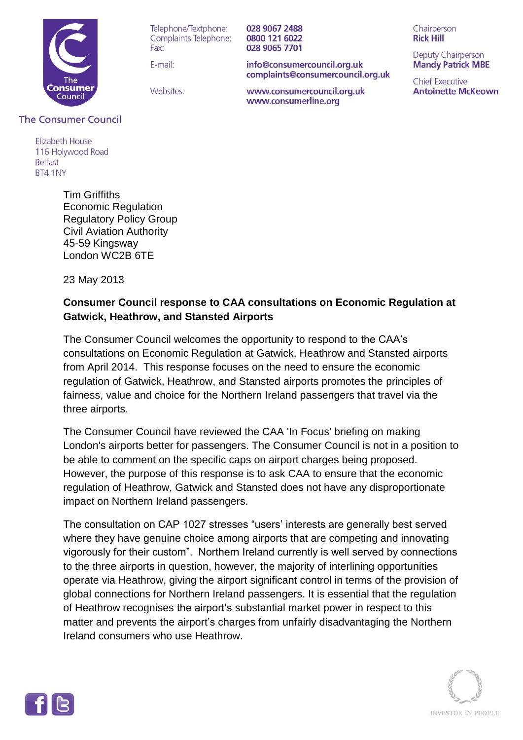

Telephone/Textphone: Complaints Telephone: Fay:

F-mail:

028 9067 2488 0800 121 6022 028 9065 7701

info@consumercouncil.org.uk complaints@consumercouncil.org.uk

Websites:

www.consumercouncil.org.uk www.consumerline.org

Chairperson **Rick Hill** 

Deputy Chairperson **Mandy Patrick MBE** 

**Chief Executive Antoinette McKeown** 

## **The Consumer Council**

**Flizabeth House** 116 Holywood Road **Belfast** BT4 1NY

> Tim Griffiths Economic Regulation Regulatory Policy Group Civil Aviation Authority 45-59 Kingsway London WC2B 6TE

23 May 2013

## **Consumer Council response to CAA consultations on Economic Regulation at Gatwick, Heathrow, and Stansted Airports**

The Consumer Council welcomes the opportunity to respond to the CAA's consultations on Economic Regulation at Gatwick, Heathrow and Stansted airports from April 2014. This response focuses on the need to ensure the economic regulation of Gatwick, Heathrow, and Stansted airports promotes the principles of fairness, value and choice for the Northern Ireland passengers that travel via the three airports.

The Consumer Council have reviewed the CAA 'In Focus' briefing on making London's airports better for passengers. The Consumer Council is not in a position to be able to comment on the specific caps on airport charges being proposed. However, the purpose of this response is to ask CAA to ensure that the economic regulation of Heathrow, Gatwick and Stansted does not have any disproportionate impact on Northern Ireland passengers.

The consultation on CAP 1027 stresses "users' interests are generally best served where they have genuine choice among airports that are competing and innovating vigorously for their custom". Northern Ireland currently is well served by connections to the three airports in question, however, the majority of interlining opportunities operate via Heathrow, giving the airport significant control in terms of the provision of global connections for Northern Ireland passengers. It is essential that the regulation of Heathrow recognises the airport's substantial market power in respect to this matter and prevents the airport's charges from unfairly disadvantaging the Northern Ireland consumers who use Heathrow.